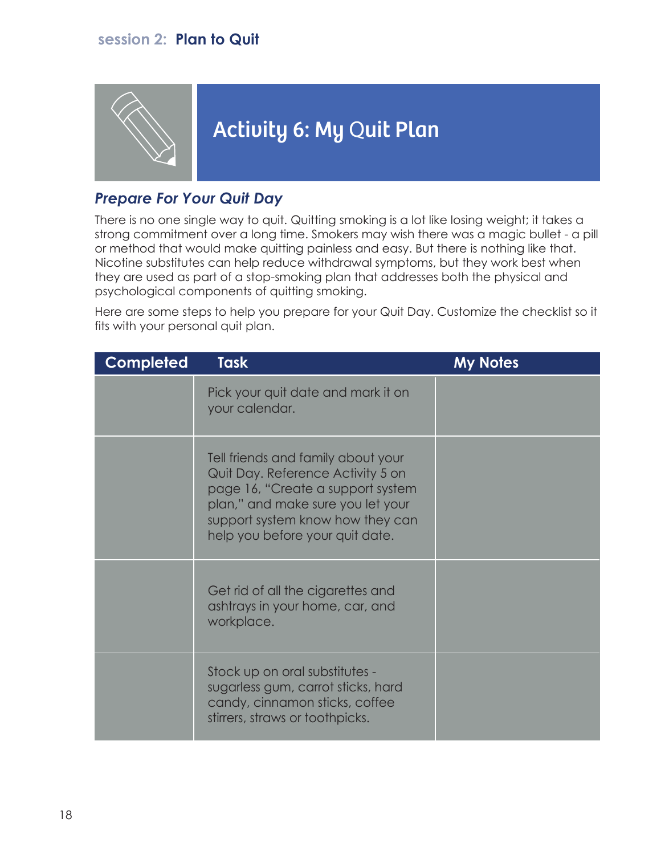### **session 2: Plan to Quit**



# Activity 6: My Quit Plan

### *Prepare For Your Quit Day*

There is no one single way to quit. Quitting smoking is a lot like losing weight; it takes a strong commitment over a long time. Smokers may wish there was a magic bullet - a pill or method that would make quitting painless and easy. But there is nothing like that. Nicotine substitutes can help reduce withdrawal symptoms, but they work best when they are used as part of a stop-smoking plan that addresses both the physical and psychological components of quitting smoking.

Here are some steps to help you prepare for your Quit Day. Customize the checklist so it fits with your personal quit plan.

| Completed | <b>Task</b>                                                                                                                                                                                                              | <b>My Notes</b> |
|-----------|--------------------------------------------------------------------------------------------------------------------------------------------------------------------------------------------------------------------------|-----------------|
|           | Pick your quit date and mark it on<br>your calendar.                                                                                                                                                                     |                 |
|           | Tell friends and family about your<br>Quit Day. Reference Activity 5 on<br>page 16, "Create a support system<br>plan," and make sure you let your<br>support system know how they can<br>help you before your quit date. |                 |
|           | Get rid of all the cigarettes and<br>ashtrays in your home, car, and<br>workplace.                                                                                                                                       |                 |
|           | Stock up on oral substitutes -<br>sugarless gum, carrot sticks, hard<br>candy, cinnamon sticks, coffee<br>stirrers, straws or toothpicks.                                                                                |                 |